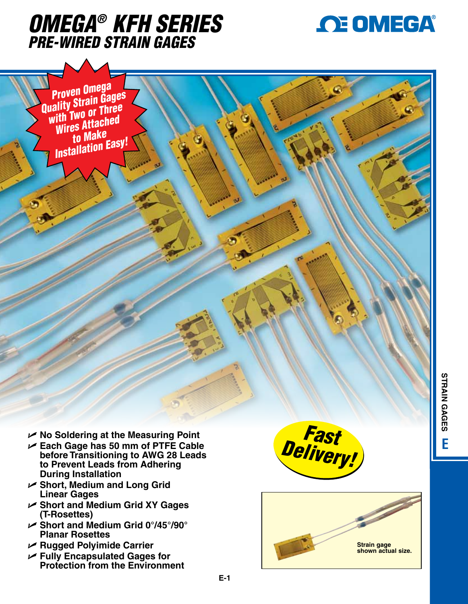



*Proven Omega Quality Strain Gages with Two or Three Wires Attached to Make Installation Easy!*

- U **No Soldering at the Measuring Point**
- U **Each Gage has 50 mm of PTFE Cable before Transitioning to AWG 28 Leads to Prevent Leads from Adhering During Installation**
- U **Short, Medium and Long Grid Linear Gages**
- U **Short and Medium Grid XY Gages (T-Rosettes)**
- U **Short and Medium Grid 0°/45°/90° Planar Rosettes**
- U **Rugged Polyimide Carrier**
- U **Fully Encapsulated Gages for Protection from the Environment**



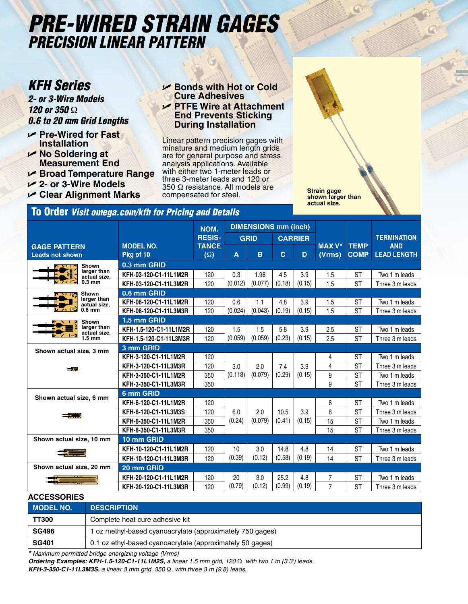# *Pre-Wired Strain Gages Precision Linear Pattern*

*2- or 3-Wire Models 120 or 350* Ω *0.6 to 20 mm Grid Lengths*

- U **Pre-Wired for Fast Installation**
- U **No Soldering at Measurement End**
- U **Broad Temperature Range**
- U **2- or 3-Wire Models**
- U **Clear Alignment Marks**

**KFH Series** UP Bonds with Hot or Cold **Cure Adhesives** U **PTFE Wire at Attachment End Prevents Sticking During Installation**

> Linear pattern precision gages with minature and medium length grids are for general purpose and stress analysis applications. Available with either two 1-meter leads or three 3-meter leads and 120 or 350 Ω resistance. All models are compensated for steel.

**Strain gage shown larger than actual size.**

### To Order *Visit omega.com/kfh for Pricing and Details*

|                                               |                               | NOM.                       | <b>DIMENSIONS mm (inch)</b> |         |                |        |                         |                            |                                  |
|-----------------------------------------------|-------------------------------|----------------------------|-----------------------------|---------|----------------|--------|-------------------------|----------------------------|----------------------------------|
|                                               |                               | <b>RESIS-</b>              | <b>GRID</b>                 |         | <b>CARRIER</b> |        |                         |                            | <b>TERMINATION</b>               |
| <b>GAGE PATTERN</b><br><b>Leads not shown</b> | <b>MODEL NO.</b><br>Pkg of 10 | <b>TANCE</b><br>$(\Omega)$ | A                           | B       | $\mathbf{C}$   | D      | <b>MAX V*</b><br>(Vrms) | <b>TEMP</b><br><b>COMP</b> | <b>AND</b><br><b>LEAD LENGTH</b> |
| Shown<br>$\mathbf{r}$                         | 0.3 mm GRID                   |                            |                             |         |                |        |                         |                            |                                  |
| larger than<br>actual size,                   | KFH-03-120-C1-11L1M2R         | 120                        | 0.3                         | 1.96    | 4.5            | 3.9    | 1.5                     | <b>ST</b>                  | Two 1 m leads                    |
| <b>1570 PM</b><br>$0.3 \text{ mm}$            | KFH-03-120-C1-11L3M2R         | 120                        | (0.012)                     | (0.077) | (0.18)         | (0.15) | 1.5                     | <b>ST</b>                  | Three 3 m leads                  |
| <b>Shown</b><br>アン・セン                         | 0.6 mm GRID                   |                            |                             |         |                |        |                         |                            |                                  |
| larger than<br>actual size,                   | KFH-06-120-C1-11L1M2R         | 120                        | 0.6                         | 1.1     | 4.8            | 3.9    | 1.5                     | ST                         | Two 1 m leads                    |
| <b>Live 192</b><br>$0.6$ mm                   | KFH-06-120-C1-11L3M3R         | 120                        | (0.024)                     | (0.043) | (0.19)         | (0.15) | 1.5                     | <b>ST</b>                  | Three 3 m leads                  |
| <b>Shown</b>                                  | 1.5 mm GRID                   |                            |                             |         |                |        |                         |                            |                                  |
| larger than<br>actual size,                   | KFH-1.5-120-C1-11L1M2R        | 120                        | 1.5                         | 1.5     | 5.8            | 3.9    | 2.5                     | <b>ST</b>                  | Two 1 m leads                    |
| $1.5 \text{ mm}$                              | KFH-1.5-120-C1-11L3M3R        | 120                        | (0.059)                     | (0.059) | (0.23)         | (0.15) | 2.5                     | <b>ST</b>                  | Three 3 m leads                  |
| Shown actual size, 3 mm                       | 3 mm GRID                     |                            |                             |         |                |        |                         |                            |                                  |
|                                               | KFH-3-120-C1-11L1M2R          | 120                        |                             |         |                |        | 4                       | <b>ST</b>                  | Two 1 m leads                    |
| تتقاد                                         | KFH-3-120-C1-11L3M3R          | 120                        | 3.0                         | 2.0     | 7.4            | 3.9    | 4                       | <b>ST</b>                  | Three 3 m leads                  |
|                                               | KFH-3-350-C1-11L1M2R          | 350                        | (0.118)                     | (0.079) | (0.29)         | (0.15) | 9                       | <b>ST</b>                  | Two 1 m leads                    |
|                                               | KFH-3-350-C1-11L3M3R          | 350                        |                             |         |                |        | 9                       | <b>ST</b>                  | Three 3 m leads                  |
| Shown actual size, 6 mm                       | 6 mm GRID                     |                            |                             |         |                |        |                         |                            |                                  |
|                                               | KFH-6-120-C1-11L1M2R          | 120                        |                             |         |                |        | 8                       | <b>ST</b>                  | Two 1 m leads                    |
| <b>SERVICE</b>                                | KFH-6-120-C1-11L3M3S          | 120                        | 6.0                         | 2.0     | 10.5           | 3.9    | 8                       | <b>ST</b>                  | Three 3 m leads                  |
|                                               | KFH-6-350-C1-11L1M2R          | 350                        | (0.24)                      | (0.079) | (0.41)         | (0.15) | 15                      | <b>ST</b>                  | Two 1 m leads                    |
|                                               | KFH-6-350-C1-11L3M3R          | 350                        |                             |         |                |        | 15                      | <b>ST</b>                  | Three 3 m leads                  |
| Shown actual size, 10 mm                      | 10 mm GRID                    |                            |                             |         |                |        |                         |                            |                                  |
|                                               | KFH-10-120-C1-11L1M2R         | 120                        | 10                          | 3.0     | 14.8           | 4.8    | 14                      | <b>ST</b>                  | Two 1 m leads                    |
|                                               | KFH-10-120-C1-11L3M3R         | 120                        | (0.39)                      | (0.12)  | (0.58)         | (0.19) | 14                      | <b>ST</b>                  | Three 3 m leads                  |
| Shown actual size, 20 mm                      | 20 mm GRID                    |                            |                             |         |                |        |                         |                            |                                  |
|                                               | KFH-20-120-C1-11L1M2R         | 120                        | 20                          | 3.0     | 25.2           | 4.8    | 7                       | ST                         | Two 1 m leads                    |
|                                               | KFH-20-120-C1-11L3M3R         | 120                        | (0.79)                      | (0.12)  | (0.99)         | (0.19) | $\overline{7}$          | <b>ST</b>                  | Three 3 m leads                  |

#### **ACCESSORIES**

| <b>MODEL NO.</b> | <b>DESCRIPTION</b>                                        |
|------------------|-----------------------------------------------------------|
| <b>TT300</b>     | Complete heat cure adhesive kit                           |
| <b>SG496</b>     | 1 oz methyl-based cyanoacrylate (approximately 750 gages) |
| <b>SG401</b>     | 0.1 oz ethyl-based cyanoacrylate (approximately 50 gages) |

*\* Maximum permitted bridge energizing voltage (Vrms)*

*Ordering Examples: KFH-1.5-120-C1-11L1M2S, a linear 1.5 mm grid, 120* Ω*, with two 1 m (3.3') leads. KFH-3-350-C1-11L3M3S, a linear 3 mm grid, 350* Ω*, with three 3 m (9.8) leads.*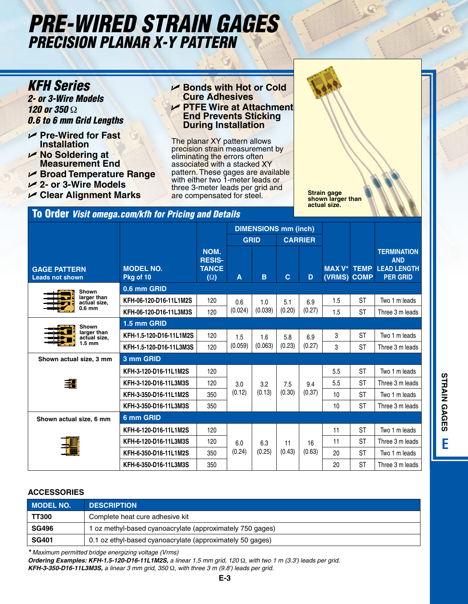# *Pre-Wired Strain Gages Precision PlanAr X-Y Pattern*

*2- or 3-Wire Models 120 or 350* Ω *0.6 to 6 mm Grid Lengths*

- U **Pre-Wired for Fast Installation**
- U **No Soldering at Measurement End**
- U **Broad Temperature Range** U **2- or 3-Wire Models**
- U **Clear Alignment Marks**
- 

#### **KFH Series** UP Bonds with Hot or Cold **Cure Adhesives** U **PTFE Wire at Attachment End Prevents Sticking During Installation**

The planar XY pattern allows precision strain measurement by eliminating the errors often associated with a stacked XY pattern. These gages are available with either two 1-meter leads or three 3-meter leads per grid and are compensated for steel.

**Strain gage shown larger than actual size.**

### To Order *Visit omega.com/kfh for Pricing and Details*

**GAGE PATTERN Leads not shown MODEL NO. Pkg of 10 NOM. RESIS-TANCE (**Ω**) DIMENSIONS mm (inch) MAX V\* TEMP (VRMS) COMP TERMINATION AND LEAD LENGTH PER GRID GRID CARRIER A B C D 0.6 mm GRID KFH-06-120-D16-11L1M2S** 120 0.6 (0.024) 1.0 (0.039) 5.1 (0.20) 6.9 (0.27)  $1.5$  | ST | Two 1 m leads **KFH-06-120-D16-11L3M3S** | 120  $(0.024)$   $(0.039)$   $(0.20)$   $(0.27)$  | 1.5 ST Three 3 m leads **1.5 mm GRID KFH-1.5-120-D16-11L1M2S** 120 1.5 (0.059) 1.6 (0.063) 5.8 (0.23) 6.9 (0.27) 3 | ST | Two 1 m leads **KFH-1.5-120-D16-11L3M3S** 120  $(0.059)$   $(0.063)$   $(0.23)$   $(0.27)$  3 ST Three 3 m leads **3 mm GRID KFH-3-120-D16-11L1M2S** 120 3.0 (0.12) 3.2 (0.13) 7.5 (0.30) 9.4 (0.37) 5.5 ST Two 1 m leads 3.120 Three 3 m leads **KFH-3-120-D16-11L3M3S** 120 3.0 3.0 3.2 7.5 9.4 5.5 ST Three 3 m leads **KFH-3-350-D16-11L1M2S** 350 (0.12) (0.13) (0.30) (0.37) 10 ST Two 1 m leads **KFH-3-350-D16-11L3M3S** 350 **10 10 10 10 ST Three 3 m leads 6 mm GRID KFH-6-120-D16-11L1M2S** 120 6.0 (0.24) 6.3 (0.25) 11 (0.43) 16 (0.63) 11 | ST | Two 1 m leads **KFH-6-120-D16-11L3M3S** 120 60 63 11 16 11 ST Three 3 m leads **KFH-6-350-D16-11L1M2S** 350 (0.24) (0.25) (0.43) (0.63) 20 ST Two 1 m leads **KFH-6-350-D16-11L3M3S** 350 | | | | | 20 | ST Three 3 m leads **Shown larger than actual size, 0.6 mm Shown larger than actual size, 1.5 mm Shown actual size, 3 mm Shown actual size, 6 mm**

#### **ACCESSORIES**

| <b>MODEL NO.</b> | <b>DESCRIPTION</b>                                        |
|------------------|-----------------------------------------------------------|
| <b>TT300</b>     | Complete heat cure adhesive kit                           |
| <b>SG496</b>     | oz methyl-based cyanoacrylate (approximately 750 gages)   |
| <b>SG401</b>     | 0.1 oz ethyl-based cyanoacrylate (approximately 50 gages) |

*\* Maximum permitted bridge energizing voltage (Vrms)*

*Ordering Examples: KFH-1.5-120-D16-11L1M2S, a linear 1.5 mm grid, 120* Ω*, with two 1 m (3.3') leads per grid. KFH-3-350-D16-11L3M3S, a linear 3 mm grid, 350* Ω*, with three 3 m (9.8') leads per grid.*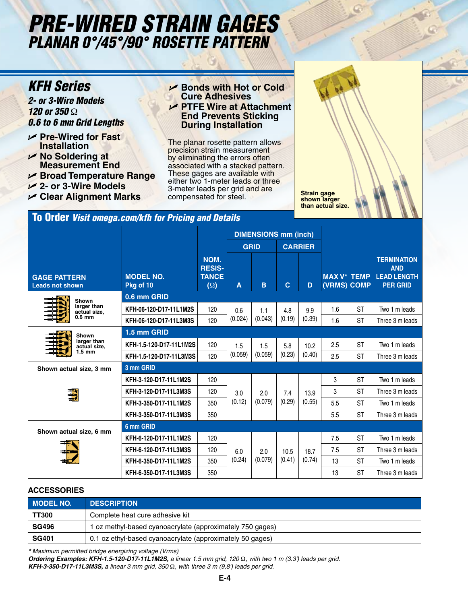# *Pre-Wired Strain Gages Planar 0°/45°/90° Rosette Pattern*

## *KFH Series*

*2- or 3-Wire Models 120 or 350* Ω *0.6 to 6 mm Grid Lengths*

- U **Pre-Wired for Fast Installation**
- U **No Soldering at Measurement End**
- U **Broad Temperature Range**
- U **2- or 3-Wire Models**
- U **Clear Alignment Marks**

#### **► Bonds with Hot or Cold Cure Adhesives** U **PTFE Wire at Attachment End Prevents Sticking During Installation**

The planar rosette pattern allows precision strain measurement by eliminating the errors often associated with a stacked pattern. These gages are available with either two 1-meter leads or three 3-meter leads per grid and are compensated for steel.

**Strain gage shown larger than actual size.**

### To Order *Visit omega.com/kfh for Pricing and Details*

|                                                   |                               |                                                     | <b>DIMENSIONS mm (inch)</b> |                |                |                |                                   |           |                                                                           |
|---------------------------------------------------|-------------------------------|-----------------------------------------------------|-----------------------------|----------------|----------------|----------------|-----------------------------------|-----------|---------------------------------------------------------------------------|
|                                                   |                               |                                                     | <b>GRID</b>                 |                | <b>CARRIER</b> |                |                                   |           |                                                                           |
| <b>GAGE PATTERN</b><br><b>Leads not shown</b>     | <b>MODEL NO.</b><br>Pkg of 10 | NOM.<br><b>RESIS-</b><br><b>TANCE</b><br>$(\Omega)$ | A                           | B              | $\mathbf c$    | D              | <b>MAX V* TEMP</b><br>(VRMS) COMP |           | <b>TERMINATION</b><br><b>AND</b><br><b>LEAD LENGTH</b><br><b>PER GRID</b> |
| Shown                                             | 0.6 mm GRID                   |                                                     |                             |                |                |                |                                   |           |                                                                           |
| larger than<br>actual size.                       | KFH-06-120-D17-11L1M2S        | 120                                                 | 0.6                         | 1.1<br>(0.043) | 4.8<br>(0.19)  | 9.9<br>(0.39)  | 1.6                               | <b>ST</b> | Two 1 m leads                                                             |
| $0.6$ mm                                          | KFH-06-120-D17-11L3M3S        | 120                                                 | (0.024)                     |                |                |                | 1.6                               | <b>ST</b> | Three 3 m leads                                                           |
| Shown                                             | 1.5 mm GRID                   |                                                     |                             |                |                |                |                                   |           |                                                                           |
| larger than<br>actual size,                       | KFH-1.5-120-D17-11L1M2S       | 120                                                 | 1.5                         | 1.5            | 5.8            | 10.2           | 2.5                               | <b>ST</b> | Two 1 m leads                                                             |
|                                                   | KFH-1.5-120-D17-11L3M3S       | 120                                                 | (0.059)                     | (0.059)        | (0.23)         | (0.40)         | 2.5                               | <b>ST</b> | Three 3 m leads                                                           |
| Shown actual size, 3 mm                           | 3 mm GRID                     |                                                     |                             |                |                |                |                                   |           |                                                                           |
|                                                   | KFH-3-120-D17-11L1M2S         | 120                                                 |                             |                |                |                | 3                                 | <b>ST</b> | Two 1 m leads                                                             |
|                                                   | KFH-3-120-D17-11L3M3S         | 120                                                 | 3.0<br>(0.12)               | 2.0<br>(0.079) | 7.4<br>(0.29)  | 13.9<br>(0.55) | 3                                 | <b>ST</b> | Three 3 m leads                                                           |
|                                                   | KFH-3-350-D17-11L1M2S         | 350                                                 |                             |                |                |                | 5.5                               | <b>ST</b> | Two 1 m leads                                                             |
|                                                   | KFH-3-350-D17-11L3M3S         | 350                                                 |                             |                |                |                | 5.5                               | <b>ST</b> | Three 3 m leads                                                           |
| $1.5 \text{ mm}$<br>UU<br>Shown actual size, 6 mm | 6 mm GRID                     |                                                     |                             |                |                |                |                                   |           |                                                                           |
|                                                   | KFH-6-120-D17-11L1M2S         | 120                                                 |                             |                |                |                | 7.5                               | <b>ST</b> | Two 1 m leads                                                             |
|                                                   | KFH-6-120-D17-11L3M3S         | 120                                                 | 6.0<br>(0.24)               | 2.0<br>(0.079) | 10.5<br>(0.41) | 18.7<br>(0.74) | 7.5                               | <b>ST</b> | Three 3 m leads                                                           |
|                                                   | KFH-6-350-D17-11L1M2S         | 350                                                 |                             |                |                |                | 13                                | <b>ST</b> | Two 1 m leads                                                             |
|                                                   | KFH-6-350-D17-11L3M3S         | 350                                                 |                             |                |                |                | 13                                | <b>ST</b> | Three 3 m leads                                                           |

#### **ACCESSORIES**

| <b>MODEL NO.</b> | <b>DESCRIPTION</b>                                        |
|------------------|-----------------------------------------------------------|
| <b>TT300</b>     | Complete heat cure adhesive kit                           |
| <b>SG496</b>     | 1 oz methyl-based cyanoacrylate (approximately 750 gages) |
| <b>SG401</b>     | 0.1 oz ethyl-based cyanoacrylate (approximately 50 gages) |

*\* Maximum permitted bridge energizing voltage (Vrms)*

*Ordering Examples: KFH-1.5-120-D17-11L1M2S, a linear 1.5 mm grid, 120* Ω*, with two 1 m (3.3') leads per grid. KFH-3-350-D17-11L3M3S, a linear 3 mm grid, 350* Ω*, with three 3 m (9,8') leads per grid.*